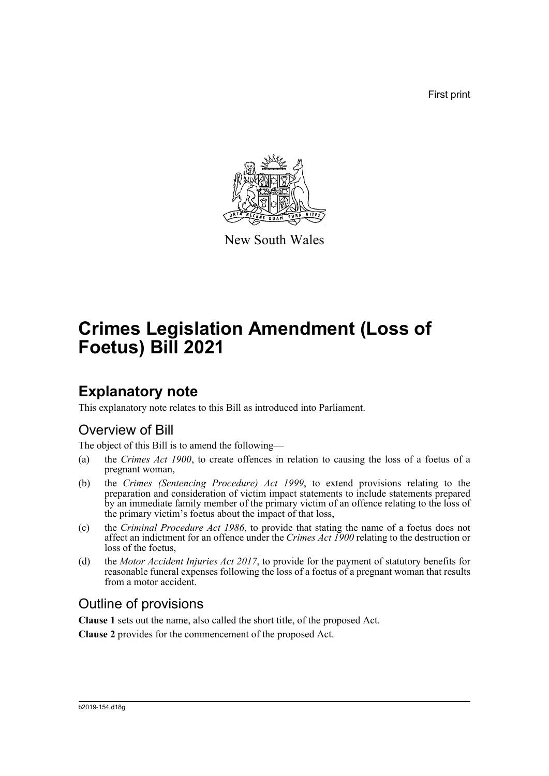First print



New South Wales

# **Crimes Legislation Amendment (Loss of Foetus) Bill 2021**

# **Explanatory note**

This explanatory note relates to this Bill as introduced into Parliament.

# Overview of Bill

The object of this Bill is to amend the following—

- (a) the *Crimes Act 1900*, to create offences in relation to causing the loss of a foetus of a pregnant woman,
- (b) the *Crimes (Sentencing Procedure) Act 1999*, to extend provisions relating to the preparation and consideration of victim impact statements to include statements prepared by an immediate family member of the primary victim of an offence relating to the loss of the primary victim's foetus about the impact of that loss,
- (c) the *Criminal Procedure Act 1986*, to provide that stating the name of a foetus does not affect an indictment for an offence under the *Crimes Act 1900* relating to the destruction or loss of the foetus,
- (d) the *Motor Accident Injuries Act 2017*, to provide for the payment of statutory benefits for reasonable funeral expenses following the loss of a foetus of a pregnant woman that results from a motor accident.

# Outline of provisions

**Clause 1** sets out the name, also called the short title, of the proposed Act.

**Clause 2** provides for the commencement of the proposed Act.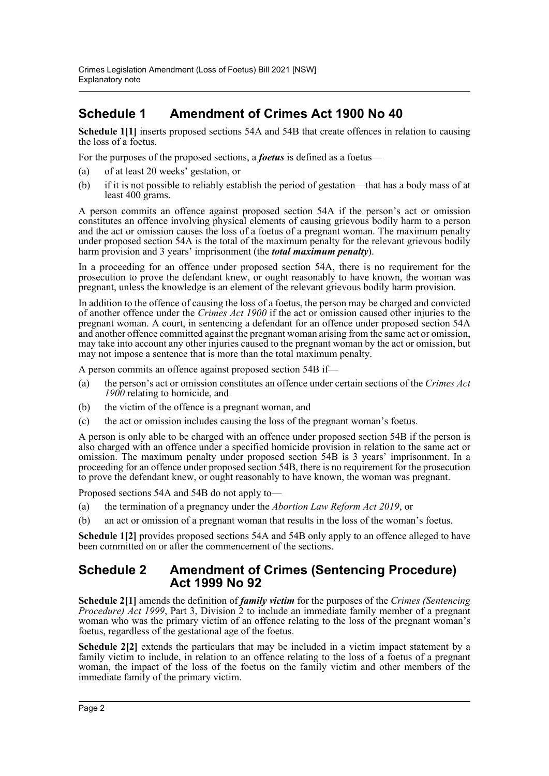# **Schedule 1 Amendment of Crimes Act 1900 No 40**

**Schedule 1[1]** inserts proposed sections 54A and 54B that create offences in relation to causing the loss of a foetus.

For the purposes of the proposed sections, a *foetus* is defined as a foetus—

- (a) of at least 20 weeks' gestation, or
- (b) if it is not possible to reliably establish the period of gestation—that has a body mass of at least 400 grams.

A person commits an offence against proposed section 54A if the person's act or omission constitutes an offence involving physical elements of causing grievous bodily harm to a person and the act or omission causes the loss of a foetus of a pregnant woman. The maximum penalty under proposed section 54A is the total of the maximum penalty for the relevant grievous bodily harm provision and 3 years' imprisonment (the *total maximum penalty*).

In a proceeding for an offence under proposed section 54A, there is no requirement for the prosecution to prove the defendant knew, or ought reasonably to have known, the woman was pregnant, unless the knowledge is an element of the relevant grievous bodily harm provision.

In addition to the offence of causing the loss of a foetus, the person may be charged and convicted of another offence under the *Crimes Act 1900* if the act or omission caused other injuries to the pregnant woman. A court, in sentencing a defendant for an offence under proposed section 54A and another offence committed against the pregnant woman arising from the same act or omission, may take into account any other injuries caused to the pregnant woman by the act or omission, but may not impose a sentence that is more than the total maximum penalty.

A person commits an offence against proposed section 54B if—

- (a) the person's act or omission constitutes an offence under certain sections of the *Crimes Act 1900* relating to homicide, and
- (b) the victim of the offence is a pregnant woman, and
- (c) the act or omission includes causing the loss of the pregnant woman's foetus.

A person is only able to be charged with an offence under proposed section 54B if the person is also charged with an offence under a specified homicide provision in relation to the same act or omission. The maximum penalty under proposed section 54B is 3 years' imprisonment. In a proceeding for an offence under proposed section 54B, there is no requirement for the prosecution to prove the defendant knew, or ought reasonably to have known, the woman was pregnant.

Proposed sections 54A and 54B do not apply to—

- (a) the termination of a pregnancy under the *Abortion Law Reform Act 2019*, or
- (b) an act or omission of a pregnant woman that results in the loss of the woman's foetus.

**Schedule 1[2]** provides proposed sections 54A and 54B only apply to an offence alleged to have been committed on or after the commencement of the sections.

### **Schedule 2 Amendment of Crimes (Sentencing Procedure) Act 1999 No 92**

**Schedule 2[1]** amends the definition of *family victim* for the purposes of the *Crimes (Sentencing Procedure) Act 1999*, Part 3, Division 2 to include an immediate family member of a pregnant woman who was the primary victim of an offence relating to the loss of the pregnant woman's foetus, regardless of the gestational age of the foetus.

**Schedule 2[2]** extends the particulars that may be included in a victim impact statement by a family victim to include, in relation to an offence relating to the loss of a foetus of a pregnant woman, the impact of the loss of the foetus on the family victim and other members of the immediate family of the primary victim.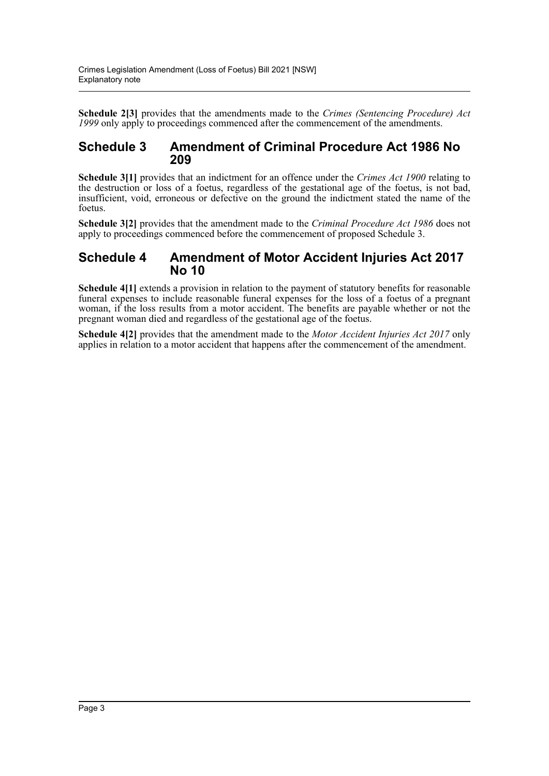**Schedule 2[3]** provides that the amendments made to the *Crimes (Sentencing Procedure) Act 1999* only apply to proceedings commenced after the commencement of the amendments.

### **Schedule 3 Amendment of Criminal Procedure Act 1986 No 209**

**Schedule 3[1]** provides that an indictment for an offence under the *Crimes Act 1900* relating to the destruction or loss of a foetus, regardless of the gestational age of the foetus, is not bad, insufficient, void, erroneous or defective on the ground the indictment stated the name of the foetus.

**Schedule 3[2]** provides that the amendment made to the *Criminal Procedure Act 1986* does not apply to proceedings commenced before the commencement of proposed Schedule 3.

### **Schedule 4 Amendment of Motor Accident Injuries Act 2017 No 10**

**Schedule 4[1]** extends a provision in relation to the payment of statutory benefits for reasonable funeral expenses to include reasonable funeral expenses for the loss of a foetus of a pregnant woman, if the loss results from a motor accident. The benefits are payable whether or not the pregnant woman died and regardless of the gestational age of the foetus.

**Schedule 4[2]** provides that the amendment made to the *Motor Accident Injuries Act 2017* only applies in relation to a motor accident that happens after the commencement of the amendment.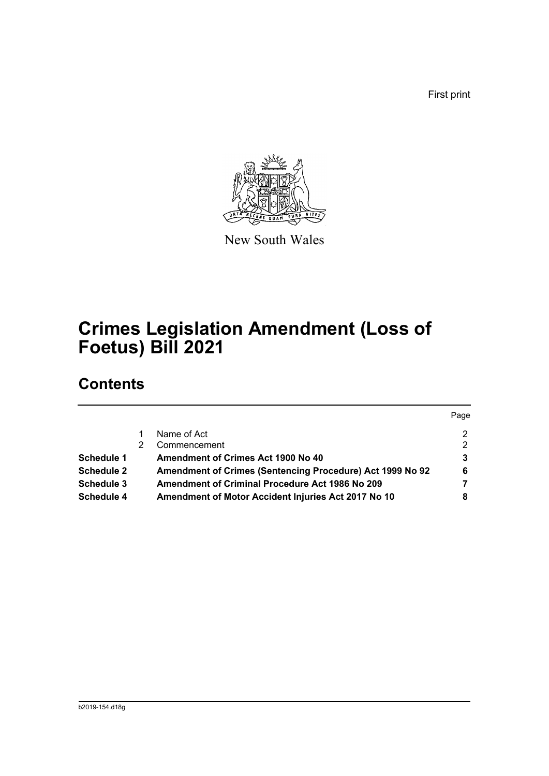First print



New South Wales

# **Crimes Legislation Amendment (Loss of Foetus) Bill 2021**

# **Contents**

|                   |                                                           | Page |
|-------------------|-----------------------------------------------------------|------|
|                   | Name of Act                                               | 2    |
|                   | Commencement                                              | 2    |
| Schedule 1        | Amendment of Crimes Act 1900 No 40                        | 3    |
| <b>Schedule 2</b> | Amendment of Crimes (Sentencing Procedure) Act 1999 No 92 | 6    |
| Schedule 3        | <b>Amendment of Criminal Procedure Act 1986 No 209</b>    |      |
| Schedule 4        | Amendment of Motor Accident Injuries Act 2017 No 10       | 8    |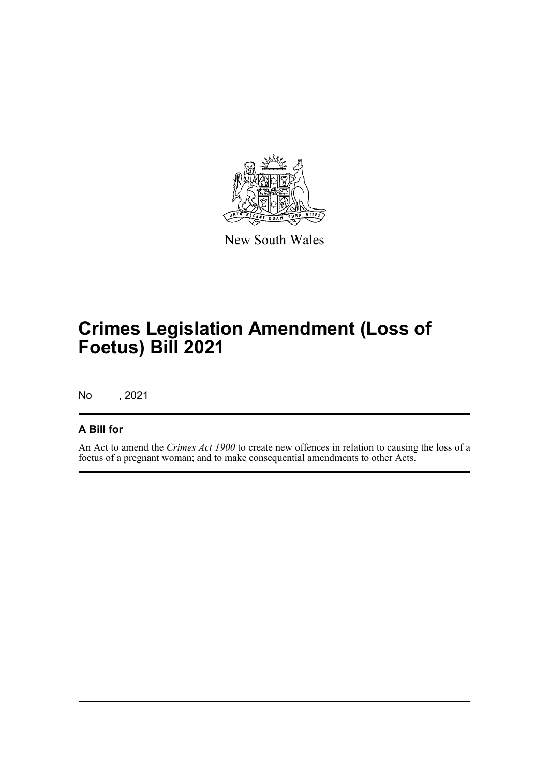

New South Wales

# **Crimes Legislation Amendment (Loss of Foetus) Bill 2021**

No , 2021

### **A Bill for**

An Act to amend the *Crimes Act 1900* to create new offences in relation to causing the loss of a foetus of a pregnant woman; and to make consequential amendments to other Acts.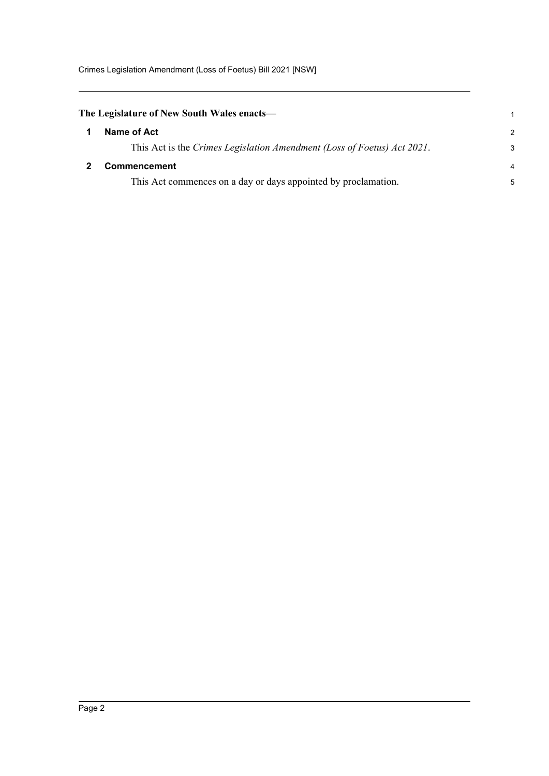Crimes Legislation Amendment (Loss of Foetus) Bill 2021 [NSW]

<span id="page-5-1"></span><span id="page-5-0"></span>

| The Legislature of New South Wales enacts—                              | $\mathbf 1$   |
|-------------------------------------------------------------------------|---------------|
| Name of Act                                                             | $\mathcal{P}$ |
| This Act is the Crimes Legislation Amendment (Loss of Foetus) Act 2021. | 3             |
| <b>Commencement</b>                                                     | 4             |
| This Act commences on a day or days appointed by proclamation.          | 5             |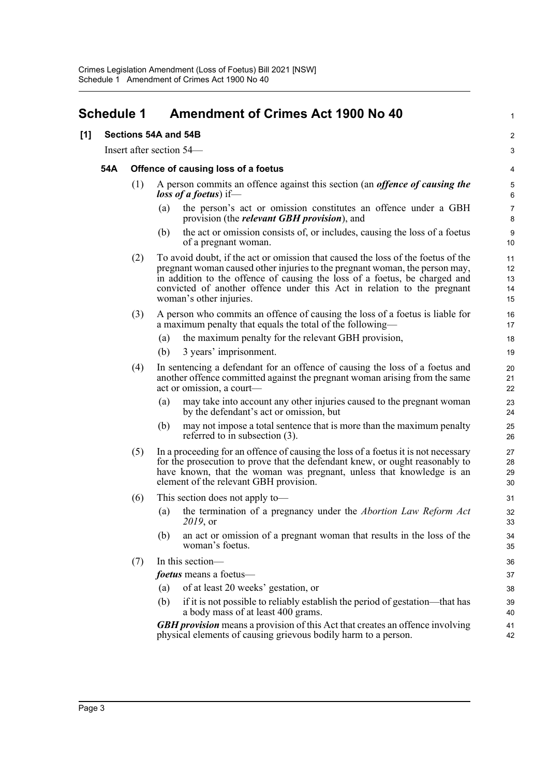<span id="page-6-0"></span>

|     | <b>Schedule 1</b> |                                     | <b>Amendment of Crimes Act 1900 No 40</b>                                                                                                                                                                                                                                                                                                           | 1                          |
|-----|-------------------|-------------------------------------|-----------------------------------------------------------------------------------------------------------------------------------------------------------------------------------------------------------------------------------------------------------------------------------------------------------------------------------------------------|----------------------------|
| [1] |                   |                                     | Sections 54A and 54B                                                                                                                                                                                                                                                                                                                                | $\overline{c}$             |
|     |                   |                                     | Insert after section 54—                                                                                                                                                                                                                                                                                                                            | 3                          |
|     | 54A               | Offence of causing loss of a foetus |                                                                                                                                                                                                                                                                                                                                                     |                            |
|     |                   | (1)                                 | A person commits an offence against this section (an <i>offence of causing the</i><br><i>loss of a foetus</i> ) if—                                                                                                                                                                                                                                 | 4<br>5<br>6                |
|     |                   |                                     | the person's act or omission constitutes an offence under a GBH<br>(a)<br>provision (the <i>relevant GBH provision</i> ), and                                                                                                                                                                                                                       | 7<br>8                     |
|     |                   |                                     | the act or omission consists of, or includes, causing the loss of a foetus<br>(b)<br>of a pregnant woman.                                                                                                                                                                                                                                           | 9<br>10                    |
|     |                   | (2)                                 | To avoid doubt, if the act or omission that caused the loss of the foetus of the<br>pregnant woman caused other injuries to the pregnant woman, the person may,<br>in addition to the offence of causing the loss of a foetus, be charged and<br>convicted of another offence under this Act in relation to the pregnant<br>woman's other injuries. | 11<br>12<br>13<br>14<br>15 |
|     |                   | (3)                                 | A person who commits an offence of causing the loss of a foetus is liable for<br>a maximum penalty that equals the total of the following—                                                                                                                                                                                                          | 16<br>17                   |
|     |                   |                                     | the maximum penalty for the relevant GBH provision,<br>(a)                                                                                                                                                                                                                                                                                          | 18                         |
|     |                   |                                     | 3 years' imprisonment.<br>(b)                                                                                                                                                                                                                                                                                                                       | 19                         |
|     |                   | (4)                                 | In sentencing a defendant for an offence of causing the loss of a foetus and<br>another offence committed against the pregnant woman arising from the same<br>act or omission, a court-                                                                                                                                                             | 20<br>21<br>22             |
|     |                   |                                     | may take into account any other injuries caused to the pregnant woman<br>(a)<br>by the defendant's act or omission, but                                                                                                                                                                                                                             | 23<br>24                   |
|     |                   |                                     | may not impose a total sentence that is more than the maximum penalty<br>(b)<br>referred to in subsection $(3)$ .                                                                                                                                                                                                                                   | 25<br>26                   |
|     |                   | (5)                                 | In a proceeding for an offence of causing the loss of a foetus it is not necessary<br>for the prosecution to prove that the defendant knew, or ought reasonably to<br>have known, that the woman was pregnant, unless that knowledge is an<br>element of the relevant GBH provision.                                                                | 27<br>28<br>29<br>30       |
|     |                   | (6)                                 | This section does not apply to—                                                                                                                                                                                                                                                                                                                     | 31                         |
|     |                   |                                     | (a) the termination of a pregnancy under the <i>Abortion Law Reform Act</i><br>2019, or                                                                                                                                                                                                                                                             | 32<br>33                   |
|     |                   |                                     | an act or omission of a pregnant woman that results in the loss of the<br>(b)<br>woman's foetus.                                                                                                                                                                                                                                                    | 34<br>35                   |
|     |                   | (7)                                 | In this section-                                                                                                                                                                                                                                                                                                                                    | 36                         |
|     |                   |                                     | <i>foetus</i> means a foetus-                                                                                                                                                                                                                                                                                                                       | 37                         |
|     |                   |                                     | of at least 20 weeks' gestation, or<br>(a)                                                                                                                                                                                                                                                                                                          | 38                         |
|     |                   |                                     | if it is not possible to reliably establish the period of gestation-that has<br>(b)<br>a body mass of at least 400 grams.                                                                                                                                                                                                                           | 39<br>40                   |
|     |                   |                                     | <b>GBH</b> provision means a provision of this Act that creates an offence involving<br>physical elements of causing grievous bodily harm to a person.                                                                                                                                                                                              | 41<br>42                   |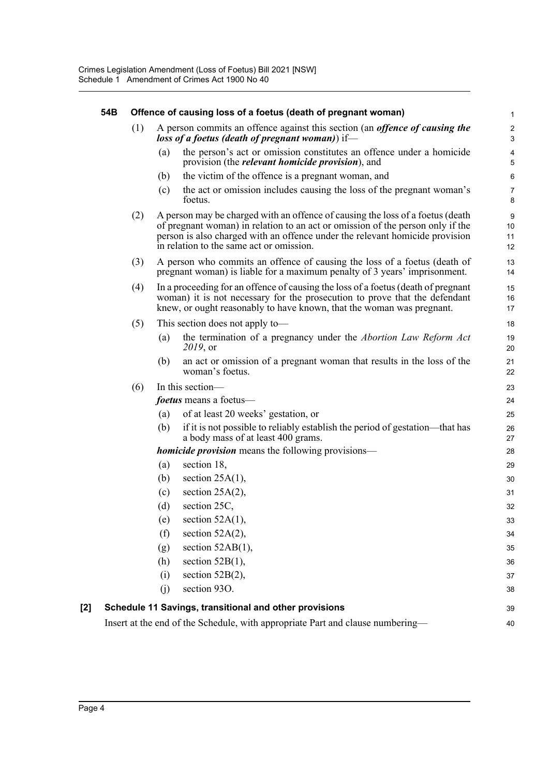|     | 54B |     |     | Offence of causing loss of a foetus (death of pregnant woman)                                                                                                                                                                                                                                | 1                        |
|-----|-----|-----|-----|----------------------------------------------------------------------------------------------------------------------------------------------------------------------------------------------------------------------------------------------------------------------------------------------|--------------------------|
|     |     | (1) |     | A person commits an offence against this section (an <i>offence of causing the</i><br>loss of a foetus (death of pregnant woman)) if—                                                                                                                                                        | $\sqrt{2}$<br>$\sqrt{3}$ |
|     |     |     | (a) | the person's act or omission constitutes an offence under a homicide<br>provision (the <i>relevant homicide provision</i> ), and                                                                                                                                                             | $\pmb{4}$<br>$\sqrt{5}$  |
|     |     |     | (b) | the victim of the offence is a pregnant woman, and                                                                                                                                                                                                                                           | 6                        |
|     |     |     | (c) | the act or omission includes causing the loss of the pregnant woman's<br>foetus.                                                                                                                                                                                                             | $\overline{7}$<br>8      |
|     |     | (2) |     | A person may be charged with an offence of causing the loss of a foetus (death<br>of pregnant woman) in relation to an act or omission of the person only if the<br>person is also charged with an offence under the relevant homicide provision<br>in relation to the same act or omission. | 9<br>10<br>11<br>12      |
|     |     | (3) |     | A person who commits an offence of causing the loss of a foetus (death of<br>pregnant woman) is liable for a maximum penalty of 3 years' imprisonment.                                                                                                                                       | 13<br>14                 |
|     |     | (4) |     | In a proceeding for an offence of causing the loss of a foetus (death of pregnant<br>woman) it is not necessary for the prosecution to prove that the defendant<br>knew, or ought reasonably to have known, that the woman was pregnant.                                                     | 15<br>16<br>17           |
|     |     | (5) |     | This section does not apply to—                                                                                                                                                                                                                                                              | 18                       |
|     |     |     | (a) | the termination of a pregnancy under the <i>Abortion Law Reform Act</i><br>2019, or                                                                                                                                                                                                          | 19<br>20                 |
|     |     |     | (b) | an act or omission of a pregnant woman that results in the loss of the<br>woman's foetus.                                                                                                                                                                                                    | 21<br>22                 |
|     |     | (6) |     | In this section-                                                                                                                                                                                                                                                                             | 23                       |
|     |     |     |     | <i>foetus</i> means a foetus—                                                                                                                                                                                                                                                                | 24                       |
|     |     |     | (a) | of at least 20 weeks' gestation, or                                                                                                                                                                                                                                                          | 25                       |
|     |     |     | (b) | if it is not possible to reliably establish the period of gestation—that has<br>a body mass of at least 400 grams.                                                                                                                                                                           | 26<br>27                 |
|     |     |     |     | <b>homicide provision</b> means the following provisions—                                                                                                                                                                                                                                    | 28                       |
|     |     |     | (a) | section 18,                                                                                                                                                                                                                                                                                  | 29                       |
|     |     |     | (b) | section $25A(1)$ ,                                                                                                                                                                                                                                                                           | 30                       |
|     |     |     | (c) | section $25A(2)$ ,                                                                                                                                                                                                                                                                           | 31                       |
|     |     |     | (d) | section 25C,                                                                                                                                                                                                                                                                                 | 32                       |
|     |     |     | (e) | section $52A(1)$ ,                                                                                                                                                                                                                                                                           | 33                       |
|     |     |     | (f) | section 52A(2),                                                                                                                                                                                                                                                                              | 34                       |
|     |     |     | (g) | section $52AB(1)$ ,                                                                                                                                                                                                                                                                          | 35                       |
|     |     |     | (h) | section $52B(1)$ ,                                                                                                                                                                                                                                                                           | 36                       |
|     |     |     | (i) | section $52B(2)$ ,                                                                                                                                                                                                                                                                           | 37                       |
|     |     |     | (j) | section 93O.                                                                                                                                                                                                                                                                                 | 38                       |
| [2] |     |     |     | Schedule 11 Savings, transitional and other provisions                                                                                                                                                                                                                                       | 39                       |
|     |     |     |     | Insert at the end of the Schedule, with appropriate Part and clause numbering—                                                                                                                                                                                                               | 40                       |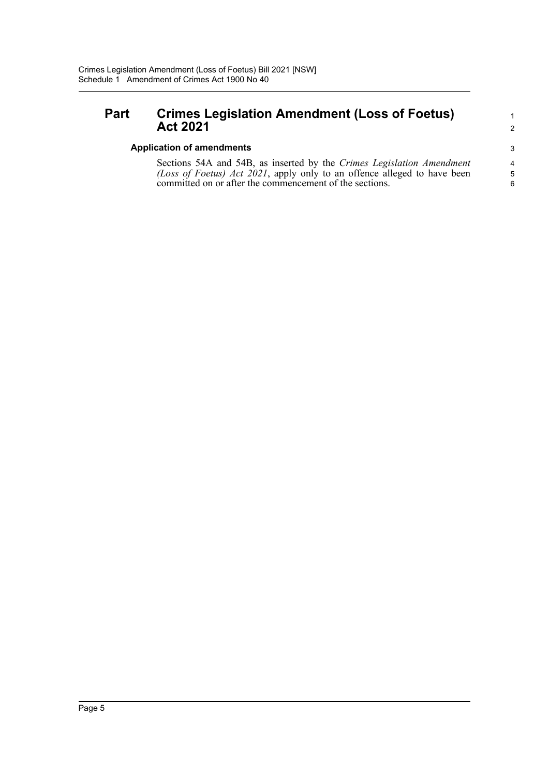## **Part Crimes Legislation Amendment (Loss of Foetus) Act 2021**

#### **Application of amendments**

Sections 54A and 54B, as inserted by the *Crimes Legislation Amendment (Loss of Foetus) Act 2021*, apply only to an offence alleged to have been committed on or after the commencement of the sections.

1 2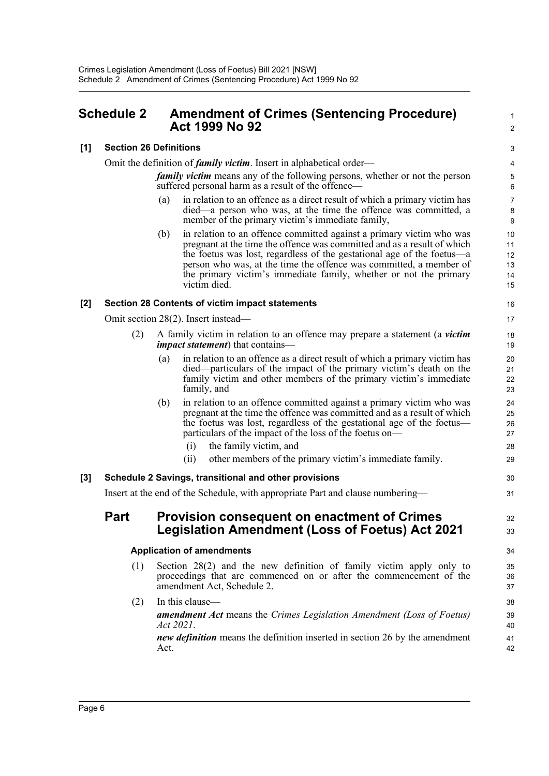## <span id="page-9-0"></span>**Schedule 2 Amendment of Crimes (Sentencing Procedure) Act 1999 No 92**

 $\mathcal{L}$ 3

30 31

32 33

1

#### **[1] Section 26 Definitions**

Omit the definition of *family victim*. Insert in alphabetical order—

*family victim* means any of the following persons, whether or not the person suffered personal harm as a result of the offence—

- (a) in relation to an offence as a direct result of which a primary victim has died—a person who was, at the time the offence was committed, a member of the primary victim's immediate family,
- (b) in relation to an offence committed against a primary victim who was pregnant at the time the offence was committed and as a result of which the foetus was lost, regardless of the gestational age of the foetus—a person who was, at the time the offence was committed, a member of the primary victim's immediate family, whether or not the primary victim died.

#### **[2] Section 28 Contents of victim impact statements**

Omit section 28(2). Insert instead—

- (2) A family victim in relation to an offence may prepare a statement (a *victim impact statement*) that contains—
	- (a) in relation to an offence as a direct result of which a primary victim has died—particulars of the impact of the primary victim's death on the family victim and other members of the primary victim's immediate family, and
	- (b) in relation to an offence committed against a primary victim who was pregnant at the time the offence was committed and as a result of which the foetus was lost, regardless of the gestational age of the foetus particulars of the impact of the loss of the foetus on—
		- (i) the family victim, and
		- (ii) other members of the primary victim's immediate family.

#### **[3] Schedule 2 Savings, transitional and other provisions**

Insert at the end of the Schedule, with appropriate Part and clause numbering—

### **Part Provision consequent on enactment of Crimes Legislation Amendment (Loss of Foetus) Act 2021**

#### **Application of amendments**

- (1) Section 28(2) and the new definition of family victim apply only to proceedings that are commenced on or after the commencement of the amendment Act, Schedule 2.
- (2) In this clause *amendment Act* means the *Crimes Legislation Amendment (Loss of Foetus) Act 2021*. *new definition* means the definition inserted in section 26 by the amendment Act.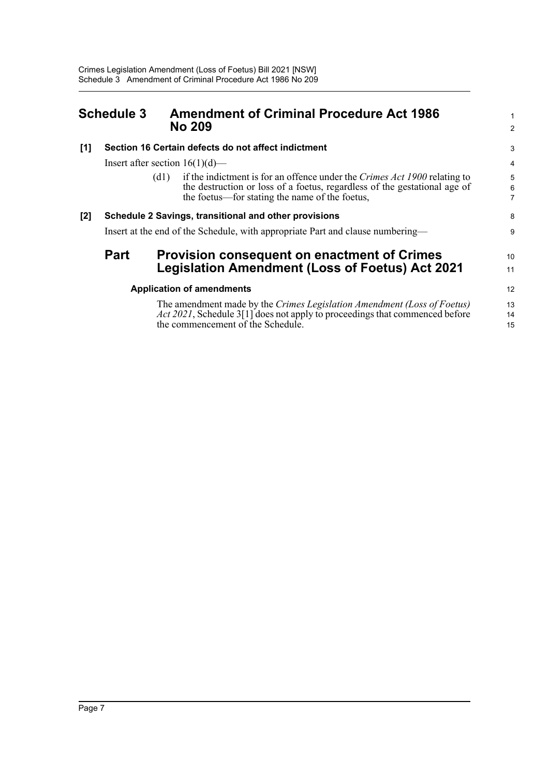<span id="page-10-0"></span>

|     | <b>Schedule 3</b>                                                              | <b>Amendment of Criminal Procedure Act 1986</b><br><b>No 209</b>                                                                                                                                                                                   | 1<br>$\overline{2}$ |  |
|-----|--------------------------------------------------------------------------------|----------------------------------------------------------------------------------------------------------------------------------------------------------------------------------------------------------------------------------------------------|---------------------|--|
| [1] |                                                                                | Section 16 Certain defects do not affect indictment                                                                                                                                                                                                | 3                   |  |
|     |                                                                                | Insert after section $16(1)(d)$ —                                                                                                                                                                                                                  | $\overline{4}$      |  |
|     |                                                                                | if the indictment is for an offence under the Crimes Act 1900 relating to<br>$\left( \mathrm{d} \mathrm{l} \right)$<br>the destruction or loss of a foetus, regardless of the gestational age of<br>the foetus—for stating the name of the foetus, | 5<br>6<br>7         |  |
| [2] | Schedule 2 Savings, transitional and other provisions                          |                                                                                                                                                                                                                                                    |                     |  |
|     | Insert at the end of the Schedule, with appropriate Part and clause numbering- |                                                                                                                                                                                                                                                    |                     |  |
|     | <b>Part</b>                                                                    | <b>Provision consequent on enactment of Crimes</b>                                                                                                                                                                                                 | 10                  |  |
|     |                                                                                | <b>Legislation Amendment (Loss of Foetus) Act 2021</b>                                                                                                                                                                                             | 11                  |  |
|     | <b>Application of amendments</b>                                               |                                                                                                                                                                                                                                                    |                     |  |
|     |                                                                                | The amendment made by the Crimes Legislation Amendment (Loss of Foetus)<br>Act 2021, Schedule 3[1] does not apply to proceedings that commenced before<br>the commencement of the Schedule.                                                        | 13<br>14<br>15      |  |